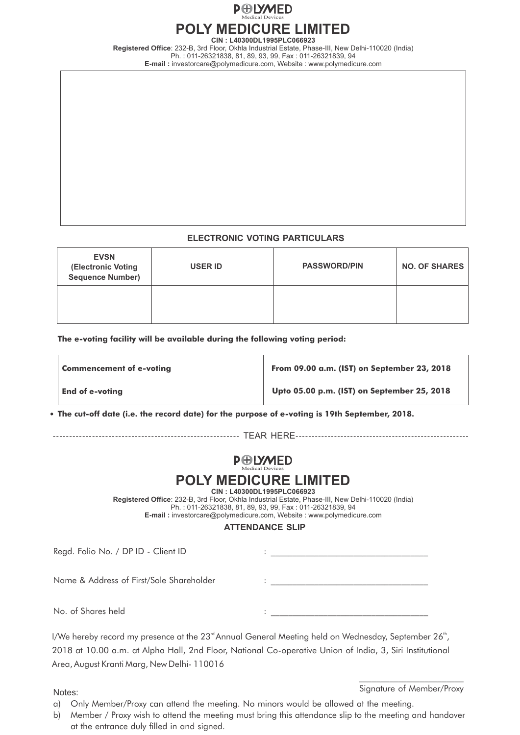

**CIN : L40300DL1995PLC066923**

**Registered Office**: 232-B, 3rd Floor, Okhla Industrial Estate, Phase-III, New Delhi-110020 (India) Ph. : 011-26321838, 81, 89, 93, 99, Fax : 011-26321839, 94 **E-mail :** investorcare@polymedicure.com, Website : www.polymedicure.com

### **ELECTRONIC VOTING PARTICULARS**

| <b>EVSN</b><br>(Electronic Voting<br><b>Sequence Number)</b> | <b>USER ID</b> | <b>PASSWORD/PIN</b> | <b>NO. OF SHARES</b> |
|--------------------------------------------------------------|----------------|---------------------|----------------------|
|                                                              |                |                     |                      |

**The e-voting facility will be available during the following voting period:**

| <b>Commencement of e-voting</b> | From 09.00 a.m. (IST) on September 23, 2018 |  |
|---------------------------------|---------------------------------------------|--|
| <b>End of e-voting</b>          | Upto 05.00 p.m. (IST) on September 25, 2018 |  |

**The cut-off date (i.e. the record date) for the purpose of e-voting is 19th September, 2018.**

--------------------------------------------------------- TEAR HERE------------------------------------------------------

# **P**ODWED

# **POLY MEDICURE LIMITED**

**CIN : L40300DL1995PLC066923**

**Registered Office**: 232-B, 3rd Floor, Okhla Industrial Estate, Phase-III, New Delhi-110020 (India) Ph. : 011-26321838, 81, 89, 93, 99, Fax : 011-26321839, 94 **E-mail :** investorcare@polymedicure.com, Website : www.polymedicure.com

### **ATTENDANCE SLIP**

| Regd. Folio No. / DP ID - Client ID      |  |
|------------------------------------------|--|
|                                          |  |
| Name & Address of First/Sole Shareholder |  |
| No. of Shares held                       |  |

I/We hereby record my presence at the  $23<sup>rd</sup>$ Annual General Meeting held on Wednesday, September  $26<sup>th</sup>$ , 2018 at 10.00 a.m. at Alpha Hall, 2nd Floor, National Co-operative Union of India, 3, Siri Institutional Area, August Kranti Marg, New Delhi- 110016

 $\frac{1}{2}$  , and the set of the set of the set of the set of the set of the set of the set of the set of the set of the set of the set of the set of the set of the set of the set of the set of the set of the set of the set Signature of Member/Proxy Notes:

- a) Only Member/Proxy can attend the meeting. No minors would be allowed at the meeting.
- b) Member / Proxy wish to attend the meeting must bring this attendance slip to the meeting and handover at the entrance duly filled in and signed.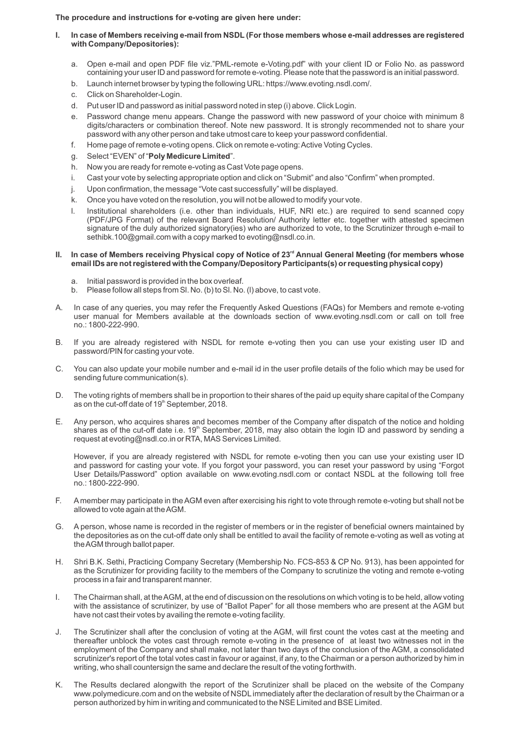**The procedure and instructions for e-voting are given here under:**

- **I. In case of Members receiving e-mail from NSDL (For those members whose e-mail addresses are registered with Company/Depositories):**
	- a. Open e-mail and open PDF file viz."PML-remote e-Voting.pdf" with your client ID or Folio No. as password containing your user ID and password for remote e-voting. Please note that the password is an initial password.
	- b. Launch internet browser by typing the following URL: https://www.evoting.nsdl.com/.
	- c. Click on Shareholder-Login.
	- d. Put user ID and password as initial password noted in step (i) above. Click Login.
	- e. Password change menu appears. Change the password with new password of your choice with minimum 8 digits/characters or combination thereof. Note new password. It is strongly recommended not to share your password with any other person and take utmost care to keep your password confidential.
	- f. Home page of remote e-voting opens. Click on remote e-voting: Active Voting Cycles.
	- g. Select "EVEN" of "**Poly Medicure Limited**".
	- h. Now you are ready for remote e-voting as Cast Vote page opens.
	- i. Cast your vote by selecting appropriate option and click on "Submit" and also "Confirm" when prompted.
	- j. Upon confirmation, the message "Vote cast successfully" will be displayed.
	- k. Once you have voted on the resolution, you will not be allowed to modify your vote.
	- l. Institutional shareholders (i.e. other than individuals, HUF, NRI etc.) are required to send scanned copy (PDF/JPG Format) of the relevant Board Resolution/ Authority letter etc. together with attested specimen signature of the duly authorized signatory(ies) who are authorized to vote, to the Scrutinizer through e-mail to sethibk.100@gmail.com with a copy marked to evoting@nsdl.co.in.

#### **II. In case of Members receiving Physical copy of Notice of 23<sup>rd</sup> Annual General Meeting (for members whose email IDs are not registered with the Company/Depository Participants(s) or requesting physical copy)**

- a. Initial password is provided in the box overleaf.
- b. Please follow all steps from Sl. No. (b) to Sl. No. (l) above, to cast vote.
- A. In case of any queries, you may refer the Frequently Asked Questions (FAQs) for Members and remote e-voting user manual for Members available at the downloads section of www.evoting.nsdl.com or call on toll free no.: 1800-222-990.
- B. If you are already registered with NSDL for remote e-voting then you can use your existing user ID and password/PIN for casting your vote.
- C. You can also update your mobile number and e-mail id in the user profile details of the folio which may be used for sending future communication(s).
- D. The voting rights of members shall be in proportion to their shares of the paid up equity share capital of the Company as on the cut-off date of 19<sup>th</sup> September, 2018.
- E. Any person, who acquires shares and becomes member of the Company after dispatch of the notice and holding shares as of the cut-off date i.e. 19<sup>th</sup> September, 2018, may also obtain the login ID and password by sending a request at evoting@nsdl.co.in or RTA, MAS Services Limited.

However, if you are already registered with NSDL for remote e-voting then you can use your existing user ID and password for casting your vote. If you forgot your password, you can reset your password by using "Forgot User Details/Password" option available on www.evoting.nsdl.com or contact NSDL at the following toll free no.: 1800-222-990.

- F. Amember may participate in the AGM even after exercising his right to vote through remote e-voting but shall not be allowed to vote again at the AGM.
- G. A person, whose name is recorded in the register of members or in the register of beneficial owners maintained by the depositories as on the cut-off date only shall be entitled to avail the facility of remote e-voting as well as voting at the AGM through ballot paper.
- H. Shri B.K. Sethi, Practicing Company Secretary (Membership No. FCS-853 & CP No. 913), has been appointed for as the Scrutinizer for providing facility to the members of the Company to scrutinize the voting and remote e-voting process in a fair and transparent manner.
- I. The Chairman shall, at the AGM, at the end of discussion on the resolutions on which voting is to be held, allow voting with the assistance of scrutinizer, by use of "Ballot Paper" for all those members who are present at the AGM but have not cast their votes by availing the remote e-voting facility.
- J. The Scrutinizer shall after the conclusion of voting at the AGM, will first count the votes cast at the meeting and thereafter unblock the votes cast through remote e-voting in the presence of at least two witnesses not in the employment of the Company and shall make, not later than two days of the conclusion of the AGM, a consolidated scrutinizer's report of the total votes cast in favour or against, if any, to the Chairman or a person authorized by him in writing, who shall countersign the same and declare the result of the voting forthwith.
- K. The Results declared alongwith the report of the Scrutinizer shall be placed on the website of the Company www.polymedicure.com and on the website of NSDL immediately after the declaration of result by the Chairman or a person authorized by him in writing and communicated to the NSE Limited and BSELimited.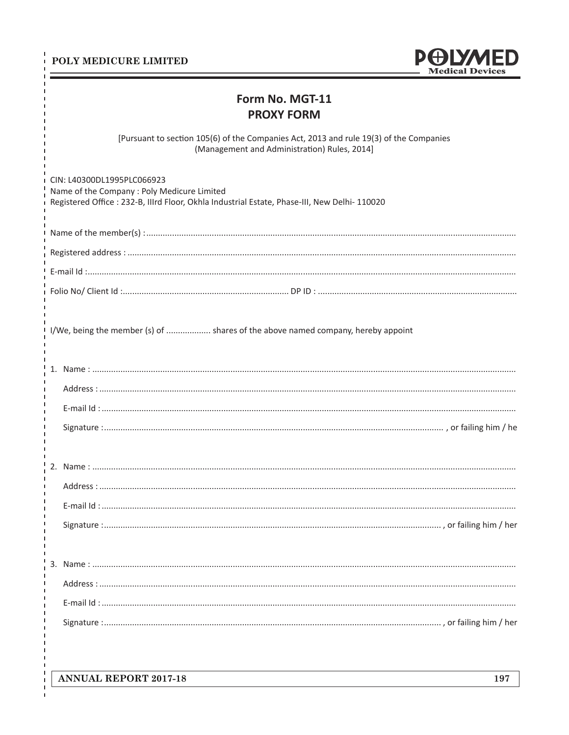### POLY MEDICURE LIMITED

Ï

 $\blacksquare$ 

 $\mathbf I$  $\blacksquare$  $\mathbf{I}$ 



## Form No. MGT-11 **PROXY FORM**

[Pursuant to section 105(6) of the Companies Act, 2013 and rule 19(3) of the Companies (Management and Administration) Rules, 2014]

| CIN: L40300DL1995PLC066923<br>Name of the Company : Poly Medicure Limited<br>Registered Office : 232-B, Illrd Floor, Okhla Industrial Estate, Phase-III, New Delhi-110020 |
|---------------------------------------------------------------------------------------------------------------------------------------------------------------------------|
|                                                                                                                                                                           |
|                                                                                                                                                                           |
|                                                                                                                                                                           |
|                                                                                                                                                                           |
| I/We, being the member (s) of  shares of the above named company, hereby appoint                                                                                          |
|                                                                                                                                                                           |
|                                                                                                                                                                           |
|                                                                                                                                                                           |
|                                                                                                                                                                           |
|                                                                                                                                                                           |
|                                                                                                                                                                           |
|                                                                                                                                                                           |
|                                                                                                                                                                           |
|                                                                                                                                                                           |
|                                                                                                                                                                           |
|                                                                                                                                                                           |
|                                                                                                                                                                           |
|                                                                                                                                                                           |
|                                                                                                                                                                           |
|                                                                                                                                                                           |

**ANNUAL REPORT 2017-18** 

 $\overline{1}$ 

 $\mathbf I$  $\mathbf I$ f,